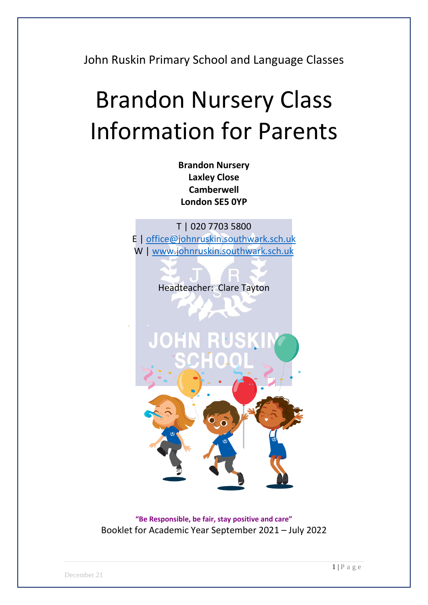John Ruskin Primary School and Language Classes

# Brandon Nursery Class Information for Parents

**Brandon Nursery Laxley Close Camberwell London SE5 0YP**

T | 020 7703 5800 E | [office@johnruskin.southwark.sch.uk](mailto:office@johnruskin.southwark.sch.uk) W | [www.johnruskin.southwark.sch.uk](http://www.johnruskin.southwark.sch.uk/)

Headteacher: Clare Tayton



**"Be Responsible, be fair, stay positive and care"** Booklet for Academic Year September 2021 – July 2022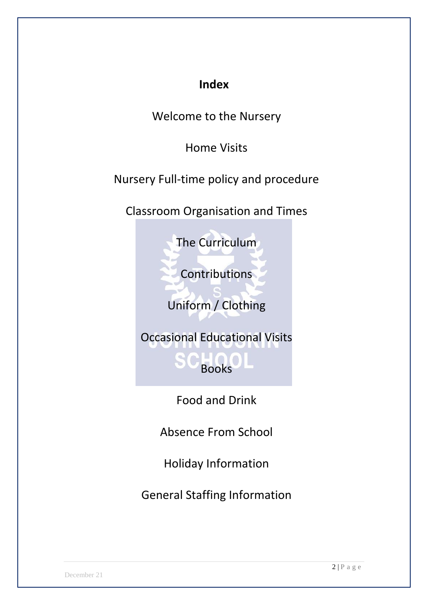### **Index**

Welcome to the Nursery

Home Visits

Nursery Full-time policy and procedure

Classroom Organisation and Times

The Curriculum

Contributions

Uniform / Clothing

Occasional Educational Visits

Books

Food and Drink

Absence From School

Holiday Information

General Staffing Information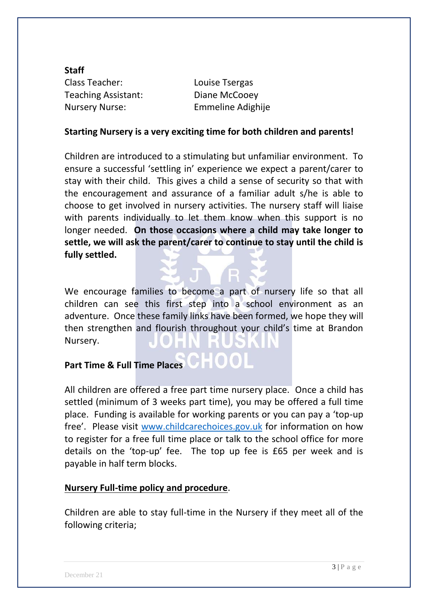**Staff** Class Teacher: Louise Tsergas Teaching Assistant: Diane McCooey Nursery Nurse: Emmeline Adighije

#### **Starting Nursery is a very exciting time for both children and parents!**

Children are introduced to a stimulating but unfamiliar environment. To ensure a successful 'settling in' experience we expect a parent/carer to stay with their child. This gives a child a sense of security so that with the encouragement and assurance of a familiar adult s/he is able to choose to get involved in nursery activities. The nursery staff will liaise with parents individually to let them know when this support is no longer needed. **On those occasions where a child may take longer to settle, we will ask the parent/carer to continue to stay until the child is fully settled.**

We encourage families to become a part of nursery life so that all children can see this first step into a school environment as an adventure. Once these family links have been formed, we hope they will then strengthen and flourish throughout your child's time at Brandon Nursery.

## Part Time & Full Time Places **CHOOL**

All children are offered a free part time nursery place. Once a child has settled (minimum of 3 weeks part time), you may be offered a full time place. Funding is available for working parents or you can pay a 'top-up free'. Please visit [www.childcarechoices.gov.uk](http://www.childcarechoices.gov.uk/) for information on how to register for a free full time place or talk to the school office for more details on the 'top-up' fee. The top up fee is £65 per week and is payable in half term blocks.

#### **Nursery Full-time policy and procedure**.

Children are able to stay full-time in the Nursery if they meet all of the following criteria;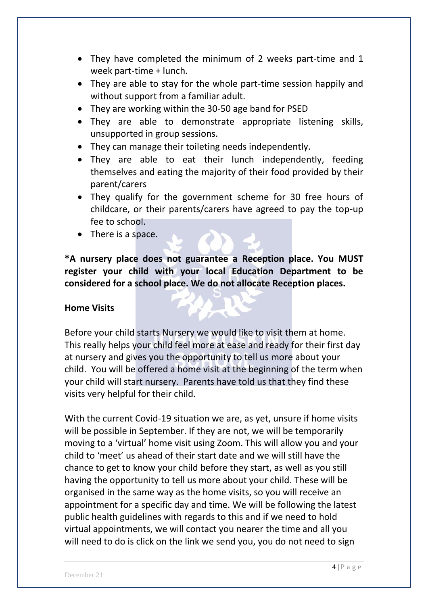- They have completed the minimum of 2 weeks part-time and 1 week part-time + lunch.
- They are able to stay for the whole part-time session happily and without support from a familiar adult.
- They are working within the 30-50 age band for PSED
- They are able to demonstrate appropriate listening skills, unsupported in group sessions.
- They can manage their toileting needs independently.
- They are able to eat their lunch independently, feeding themselves and eating the majority of their food provided by their parent/carers
- They qualify for the government scheme for 30 free hours of childcare, or their parents/carers have agreed to pay the top-up fee to school.
- $\bullet$  There is a space.

**\*A nursery place does not guarantee a Reception place. You MUST register your child with your local Education Department to be considered for a school place. We do not allocate Reception places.** 

#### **Home Visits**

Before your child starts Nursery we would like to visit them at home. This really helps your child feel more at ease and ready for their first day at nursery and gives you the opportunity to tell us more about your child. You will be offered a home visit at the beginning of the term when your child will start nursery. Parents have told us that they find these visits very helpful for their child.

With the current Covid-19 situation we are, as yet, unsure if home visits will be possible in September. If they are not, we will be temporarily moving to a 'virtual' home visit using Zoom. This will allow you and your child to 'meet' us ahead of their start date and we will still have the chance to get to know your child before they start, as well as you still having the opportunity to tell us more about your child. These will be organised in the same way as the home visits, so you will receive an appointment for a specific day and time. We will be following the latest public health guidelines with regards to this and if we need to hold virtual appointments, we will contact you nearer the time and all you will need to do is click on the link we send you, you do not need to sign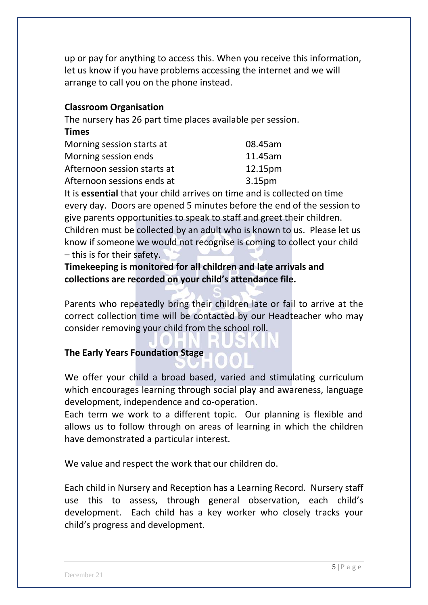up or pay for anything to access this. When you receive this information, let us know if you have problems accessing the internet and we will arrange to call you on the phone instead.

#### **Classroom Organisation**

The nursery has 26 part time places available per session.

#### **Times**

| Morning session starts at   | 08.45am            |
|-----------------------------|--------------------|
| Morning session ends        | 11.45am            |
| Afternoon session starts at | 12.15pm            |
| Afternoon sessions ends at  | 3.15 <sub>pm</sub> |

It is **essential** that your child arrives on time and is collected on time every day. Doors are opened 5 minutes before the end of the session to give parents opportunities to speak to staff and greet their children. Children must be collected by an adult who is known to us. Please let us know if someone we would not recognise is coming to collect your child – this is for their safety.

**Timekeeping is monitored for all children and late arrivals and collections are recorded on your child's attendance file.**

Parents who repeatedly bring their children late or fail to arrive at the correct collection time will be contacted by our Headteacher who may consider removing your child from the school roll.

#### **The Early Years Foundation Stage**

We offer your child a broad based, varied and stimulating curriculum which encourages learning through social play and awareness, language development, independence and co-operation.

Each term we work to a different topic. Our planning is flexible and allows us to follow through on areas of learning in which the children have demonstrated a particular interest.

We value and respect the work that our children do.

Each child in Nursery and Reception has a Learning Record.Nursery staff use this to assess, through general observation, each child's development. Each child has a key worker who closely tracks your child's progress and development.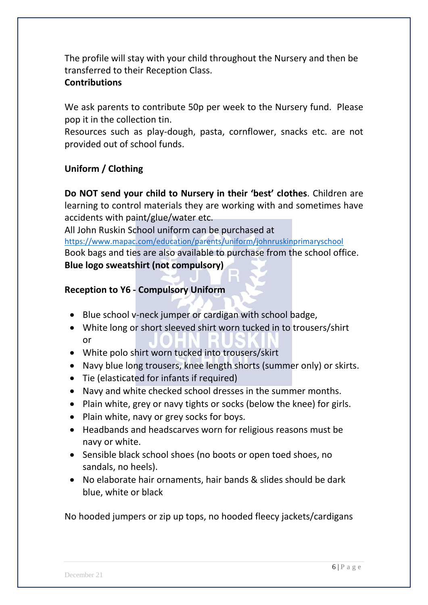The profile will stay with your child throughout the Nursery and then be transferred to their Reception Class.

#### **Contributions**

We ask parents to contribute 50p per week to the Nursery fund. Please pop it in the collection tin.

Resources such as play-dough, pasta, cornflower, snacks etc. are not provided out of school funds.

#### **Uniform / Clothing**

**Do NOT send your child to Nursery in their 'best' clothes**. Children are learning to control materials they are working with and sometimes have accidents with paint/glue/water etc.

All John Ruskin School uniform can be purchased at

<https://www.mapac.com/education/parents/uniform/johnruskinprimaryschool> Book bags and ties are also available to purchase from the school office. **Blue logo sweatshirt (not compulsory)**

#### **Reception to Y6 - Compulsory Uniform**

- Blue school v-neck jumper or cardigan with school badge,
- White long or short sleeved shirt worn tucked in to trousers/shirt or
- White polo shirt worn tucked into trousers/skirt
- Navy blue long trousers, knee length shorts (summer only) or skirts.
- Tie (elasticated for infants if required)
- Navy and white checked school dresses in the summer months.
- Plain white, grey or navy tights or socks (below the knee) for girls.
- Plain white, navy or grey socks for boys.
- Headbands and headscarves worn for religious reasons must be navy or white.
- Sensible black school shoes (no boots or open toed shoes, no sandals, no heels).
- No elaborate hair ornaments, hair bands & slides should be dark blue, white or black

No hooded jumpers or zip up tops, no hooded fleecy jackets/cardigans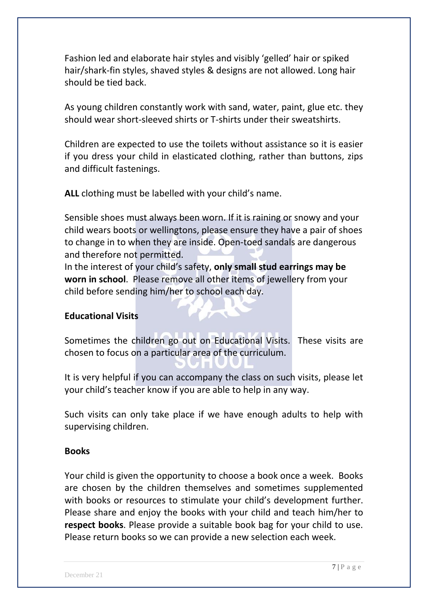Fashion led and elaborate hair styles and visibly 'gelled' hair or spiked hair/shark-fin styles, shaved styles & designs are not allowed. Long hair should be tied back.

As young children constantly work with sand, water, paint, glue etc. they should wear short-sleeved shirts or T-shirts under their sweatshirts.

Children are expected to use the toilets without assistance so it is easier if you dress your child in elasticated clothing, rather than buttons, zips and difficult fastenings.

**ALL** clothing must be labelled with your child's name.

Sensible shoes must always been worn. If it is raining or snowy and your child wears boots or wellingtons, please ensure they have a pair of shoes to change in to when they are inside. Open-toed sandals are dangerous and therefore not permitted.

In the interest of your child's safety, **only small stud earrings may be worn in school**. Please remove all other items of jewellery from your child before sending him/her to school each day.

#### **Educational Visits**

Sometimes the children go out on Educational Visits. These visits are chosen to focus on a particular area of the curriculum.

It is very helpful if you can accompany the class on such visits, please let your child's teacher know if you are able to help in any way.

Such visits can only take place if we have enough adults to help with supervising children.

#### **Books**

Your child is given the opportunity to choose a book once a week. Books are chosen by the children themselves and sometimes supplemented with books or resources to stimulate your child's development further. Please share and enjoy the books with your child and teach him/her to **respect books**. Please provide a suitable book bag for your child to use. Please return books so we can provide a new selection each week.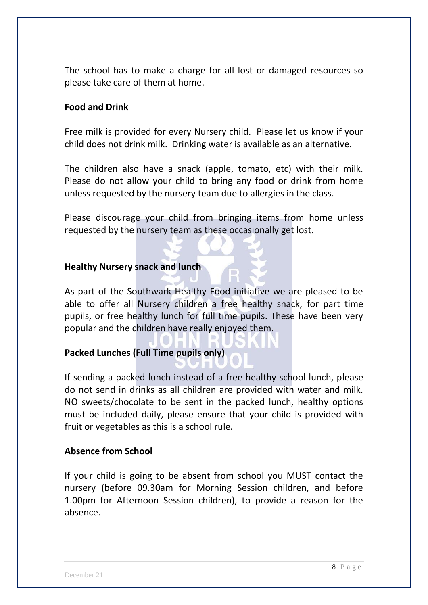The school has to make a charge for all lost or damaged resources so please take care of them at home.

#### **Food and Drink**

Free milk is provided for every Nursery child. Please let us know if your child does not drink milk. Drinking water is available as an alternative.

The children also have a snack (apple, tomato, etc) with their milk. Please do not allow your child to bring any food or drink from home unless requested by the nursery team due to allergies in the class.

Please discourage your child from bringing items from home unless requested by the nursery team as these occasionally get lost.

#### **Healthy Nursery snack and lunch**

As part of the Southwark Healthy Food initiative we are pleased to be able to offer all Nursery children a free healthy snack, for part time pupils, or free healthy lunch for full time pupils. These have been very popular and the children have really enjoyed them.

#### **Packed Lunches (Full Time pupils only)**

If sending a packed lunch instead of a free healthy school lunch, please do not send in drinks as all children are provided with water and milk. NO sweets/chocolate to be sent in the packed lunch, healthy options must be included daily, please ensure that your child is provided with fruit or vegetables as this is a school rule.

#### **Absence from School**

If your child is going to be absent from school you MUST contact the nursery (before 09.30am for Morning Session children, and before 1.00pm for Afternoon Session children), to provide a reason for the absence.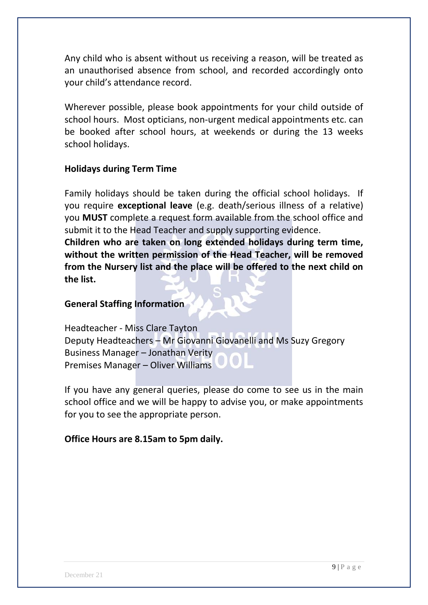Any child who is absent without us receiving a reason, will be treated as an unauthorised absence from school, and recorded accordingly onto your child's attendance record.

Wherever possible, please book appointments for your child outside of school hours. Most opticians, non-urgent medical appointments etc. can be booked after school hours, at weekends or during the 13 weeks school holidays.

#### **Holidays during Term Time**

Family holidays should be taken during the official school holidays. If you require **exceptional leave** (e.g. death/serious illness of a relative) you **MUST** complete a request form available from the school office and submit it to the Head Teacher and supply supporting evidence.

**Children who are taken on long extended holidays during term time, without the written permission of the Head Teacher, will be removed from the Nursery list and the place will be offered to the next child on the list.**

#### **General Staffing Information**

Headteacher - Miss Clare Tayton Deputy Headteachers – Mr Giovanni Giovanelli and Ms Suzy Gregory Business Manager – Jonathan Verity Premises Manager – Oliver Williams

If you have any general queries, please do come to see us in the main school office and we will be happy to advise you, or make appointments for you to see the appropriate person.

#### **Office Hours are 8.15am to 5pm daily.**